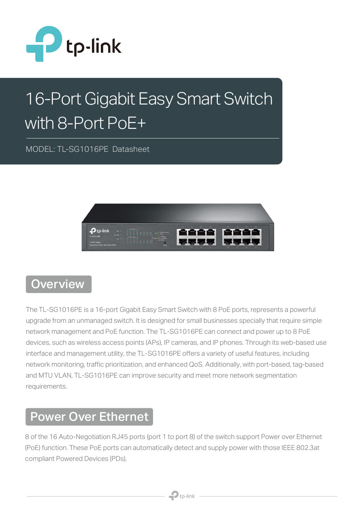

# 16-Port Gigabit Easy Smart Switch with 8-Port PoE+

MODEL: TL-SG1016PE Datasheet



#### **Overview**

The TL-SG1016PE is a 16-port Gigabit Easy Smart Switch with 8 PoE ports, represents a powerful upgrade from an unmanaged switch. It is designed for small businesses specially that require simple network management and PoE function. The TL-SG1016PE can connect and power up to 8 PoE devices, such as wireless access points (APs), IP cameras, and IP phones. Through its web-based use interface and management utility, the TL-SG1016PE offers a variety of useful features, including network monitoring, traffic prioritization, and enhanced QoS. Additionally, with port-based, tag-based and MTU VLAN, TL-SG1016PE can improve security and meet more network segmentation requirements.

#### Power Over Ethernet

8 of the 16 Auto-Negotiation RJ45 ports (port 1 to port 8) of the switch support Power over Ethernet (PoE) function. These PoE ports can automatically detect and supply power with those IEEE 802.3at compliant Powered Devices (PDs).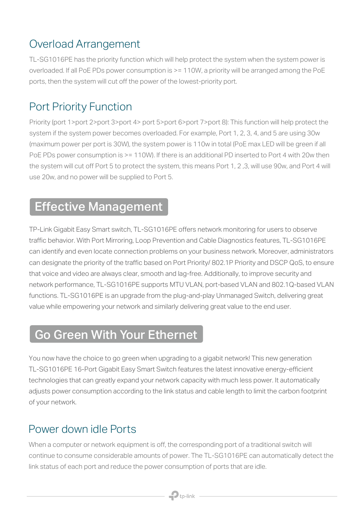#### Overload Arrangement

TL-SG1016PE has the priority function which will help protect the system when the system power is overloaded. If all PoE PDs power consumption is >= 110W, a priority will be arranged among the PoE ports, then the system will cut off the power of the lowest-priority port.

#### Port Priority Function

Priority (port 1>port 2>port 3>port 4> port 5>port 6>port 7>port 8): This function will help protect the system if the system power becomes overloaded. For example, Port 1, 2, 3, 4, and 5 are using 30w (maximum power per port is 30W), the system power is 110w in total (PoE max LED will be green if all PoE PDs power consumption is > = 110W). If there is an additional PD inserted to Port 4 with 20w then the system will cut off Port 5 to protect the system, this means Port 1, 2 ,3, will use 90w, and Port 4 will use 20w, and no power will be supplied to Port 5.

#### Effective Management

TP-Link Gigabit Easy Smart switch, TL-SG1016PE offers network monitoring for users to observe traffic behavior. With Port Mirroring, Loop Prevention and Cable Diagnostics features, TL-SG1016PE can identify and even locate connection problems on your business network. Moreover, administrators can designate the priority of the traffic based on Port Priority/ 802.1P Priority and DSCP QoS, to ensure that voice and video are always clear, smooth and lag-free. Additionally, to improve security and network performance, TL-SG1016PE supports MTU VLAN, port-based VLAN and 802.1Q-based VLAN functions. TL-SG1016PE is an upgrade from the plug-and-play Unmanaged Switch, delivering great value while empowering your network and similarly delivering great value to the end user.

# Go Green With Your Ethernet

You now have the choice to go green when upgrading to a gigabit network! This new generation TL-SG1016PE 16-Port Gigabit Easy Smart Switch features the latest innovative energy-efficient technologies that can greatly expand your network capacity with much less power. It automatically adjusts power consumption according to the link status and cable length to limit the carbon footprint of your network.

#### Power down idle Ports

When a computer or network equipment is off, the corresponding port of a traditional switch will continue to consume considerable amounts of power. The TL-SG1016PE can automatically detect the link status of each port and reduce the power consumption of ports that are idle.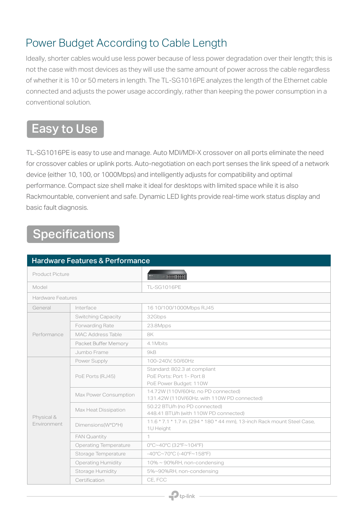#### Power Budget According to Cable Length

Ideally, shorter cables would use less power because of less power degradation over their length; this is not the case with most devices as they will use the same amount of power across the cable regardless of whether it is 10 or 50 meters in length. The TL-SG1016PE analyzes the length of the Ethernet cable connected and adjusts the power usage accordingly, rather than keeping the power consumption in a conventional solution.

### Easy to Use

TL-SG1016PE is easy to use and manage. Auto MDI/MDI-X crossover on all ports eliminate the need for crossover cables or uplink ports. Auto-negotiation on each port senses the link speed of a network device (either 10, 100, or 1000Mbps) and intelligently adjusts for compatibility and optimal performance. Compact size shell make it ideal for desktops with limited space while it is also Rackmountable, convenient and safe. Dynamic LED lights provide real-time work status display and basic fault diagnosis.

# Specifications

| <b>Hardware Features &amp; Performance</b> |                              |                                                                                       |  |  |
|--------------------------------------------|------------------------------|---------------------------------------------------------------------------------------|--|--|
| Product Picture                            |                              | <b>COOR BOOK</b>                                                                      |  |  |
| Model                                      |                              | <b>TL-SG1016PE</b>                                                                    |  |  |
| Hardware Features                          |                              |                                                                                       |  |  |
| General                                    | Interface                    | 16 10/100/1000Mbps RJ45                                                               |  |  |
| Performance                                | <b>Switching Capacity</b>    | 32Gbps                                                                                |  |  |
|                                            | Forwarding Rate              | 23.8Mpps                                                                              |  |  |
|                                            | <b>MAC Address Table</b>     | 8K                                                                                    |  |  |
|                                            | Packet Buffer Memory         | 4.1 Mbits                                                                             |  |  |
|                                            | Jumbo Frame                  | 9kB                                                                                   |  |  |
| Physical &<br>Environment                  | Power Supply                 | 100-240V, 50/60Hz                                                                     |  |  |
|                                            | PoE Ports (RJ45)             | Standard: 802.3 at compliant<br>PoE Ports: Port 1- Port 8<br>PoE Power Budget: 110W   |  |  |
|                                            | Max Power Consumption        | 14.72W (110V/60Hz. no PD connected)<br>131.42W (110V/60Hz, with 110W PD connected)    |  |  |
|                                            | Max Heat Dissipation         | 50.22 BTU/h (no PD connected)<br>448.41 BTU/h (with 110W PD connected)                |  |  |
|                                            | Dimensions(W*D*H)            | 11.6 * 7.1 * 1.7 in. (294 * 180 * 44 mm), 13-inch Rack mount Steel Case,<br>1U Height |  |  |
|                                            | <b>FAN Quantity</b>          | 1.                                                                                    |  |  |
|                                            | <b>Operating Temperature</b> | 0°C~40°C (32°F~104°F)                                                                 |  |  |
|                                            | Storage Temperature          | $-40^{\circ}$ C~70°C (-40°F~158°F)                                                    |  |  |
|                                            | <b>Operating Humidity</b>    | 10% ~ 90%RH, non-condensing                                                           |  |  |
|                                            | Storage Humidity             | 5%~90%RH, non-condensing                                                              |  |  |
|                                            | Certification                | CE. FCC                                                                               |  |  |